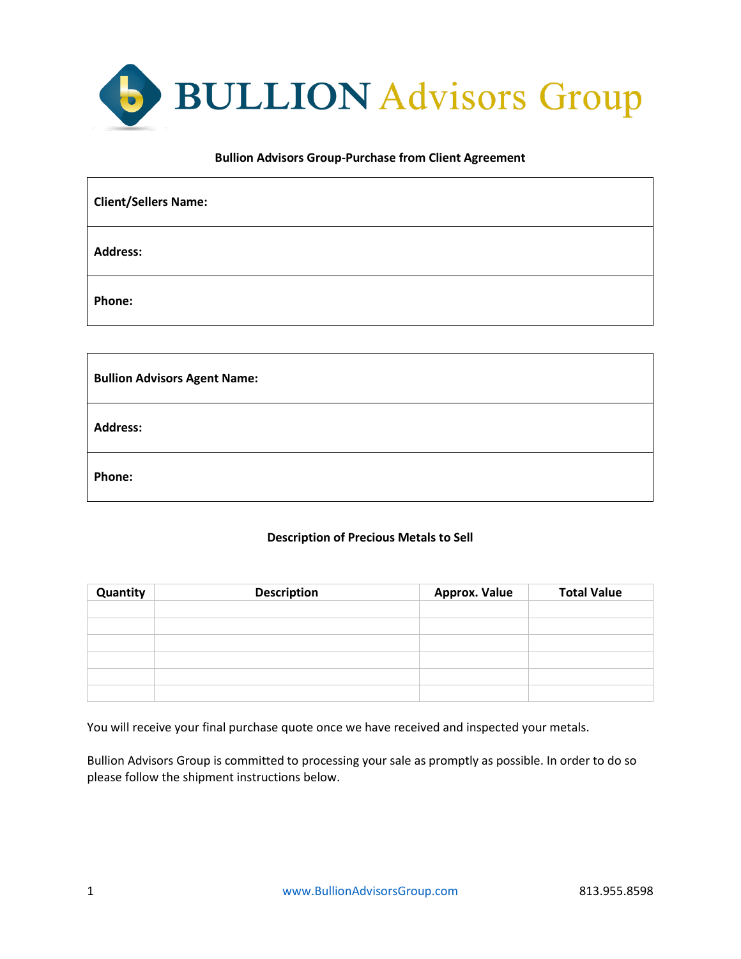

### **Bullion Advisors Group-Purchase from Client Agreement**

| <b>Client/Sellers Name:</b> |  |
|-----------------------------|--|
| <b>Address:</b>             |  |
| Phone:                      |  |
|                             |  |

| <b>Bullion Advisors Agent Name:</b> |  |
|-------------------------------------|--|
| <b>Address:</b>                     |  |
| Phone:                              |  |

# **Description of Precious Metals to Sell**

| Quantity | <b>Description</b> | <b>Approx. Value</b> | <b>Total Value</b> |
|----------|--------------------|----------------------|--------------------|
|          |                    |                      |                    |
|          |                    |                      |                    |
|          |                    |                      |                    |
|          |                    |                      |                    |
|          |                    |                      |                    |
|          |                    |                      |                    |

You will receive your final purchase quote once we have received and inspected your metals.

Bullion Advisors Group is committed to processing your sale as promptly as possible. In order to do so please follow the shipment instructions below.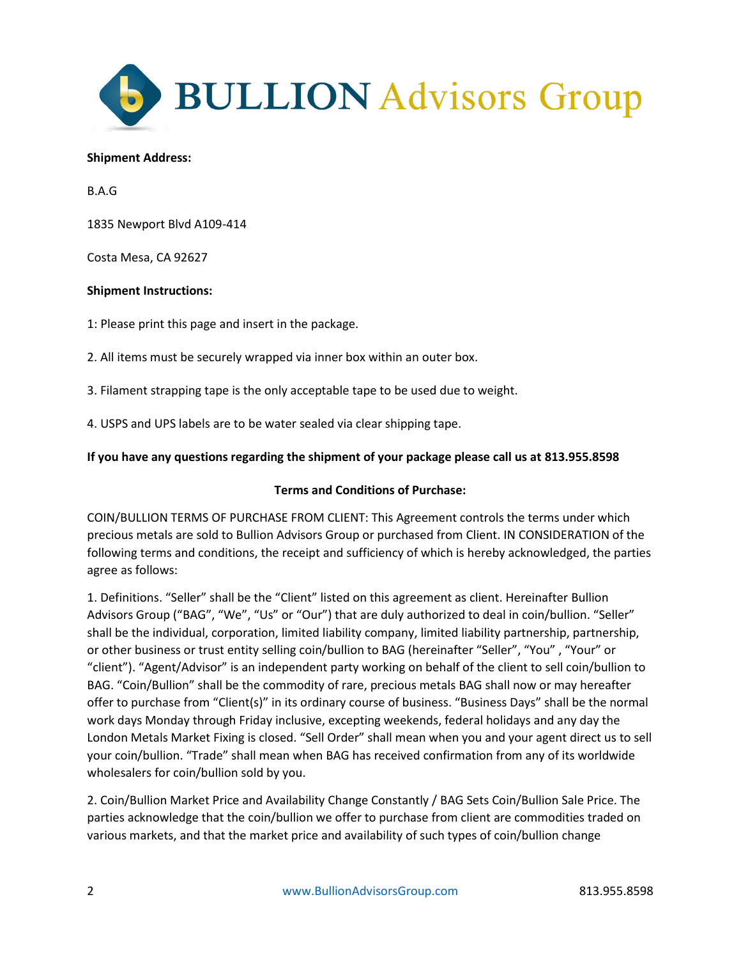

### **Shipment Address:**

B.A.G

1835 Newport Blvd A109-414

Costa Mesa, CA 92627

## **Shipment Instructions:**

1: Please print this page and insert in the package.

2. All items must be securely wrapped via inner box within an outer box.

3. Filament strapping tape is the only acceptable tape to be used due to weight.

4. USPS and UPS labels are to be water sealed via clear shipping tape.

# **If you have any questions regarding the shipment of your package please call us at 813.955.8598**

### **Terms and Conditions of Purchase:**

COIN/BULLION TERMS OF PURCHASE FROM CLIENT: This Agreement controls the terms under which precious metals are sold to Bullion Advisors Group or purchased from Client. IN CONSIDERATION of the following terms and conditions, the receipt and sufficiency of which is hereby acknowledged, the parties agree as follows:

1. Definitions. "Seller" shall be the "Client" listed on this agreement as client. Hereinafter Bullion Advisors Group ("BAG", "We", "Us" or "Our") that are duly authorized to deal in coin/bullion. "Seller" shall be the individual, corporation, limited liability company, limited liability partnership, partnership, or other business or trust entity selling coin/bullion to BAG (hereinafter "Seller", "You" , "Your" or "client"). "Agent/Advisor" is an independent party working on behalf of the client to sell coin/bullion to BAG. "Coin/Bullion" shall be the commodity of rare, precious metals BAG shall now or may hereafter offer to purchase from "Client(s)" in its ordinary course of business. "Business Days" shall be the normal work days Monday through Friday inclusive, excepting weekends, federal holidays and any day the London Metals Market Fixing is closed. "Sell Order" shall mean when you and your agent direct us to sell your coin/bullion. "Trade" shall mean when BAG has received confirmation from any of its worldwide wholesalers for coin/bullion sold by you.

2. Coin/Bullion Market Price and Availability Change Constantly / BAG Sets Coin/Bullion Sale Price. The parties acknowledge that the coin/bullion we offer to purchase from client are commodities traded on various markets, and that the market price and availability of such types of coin/bullion change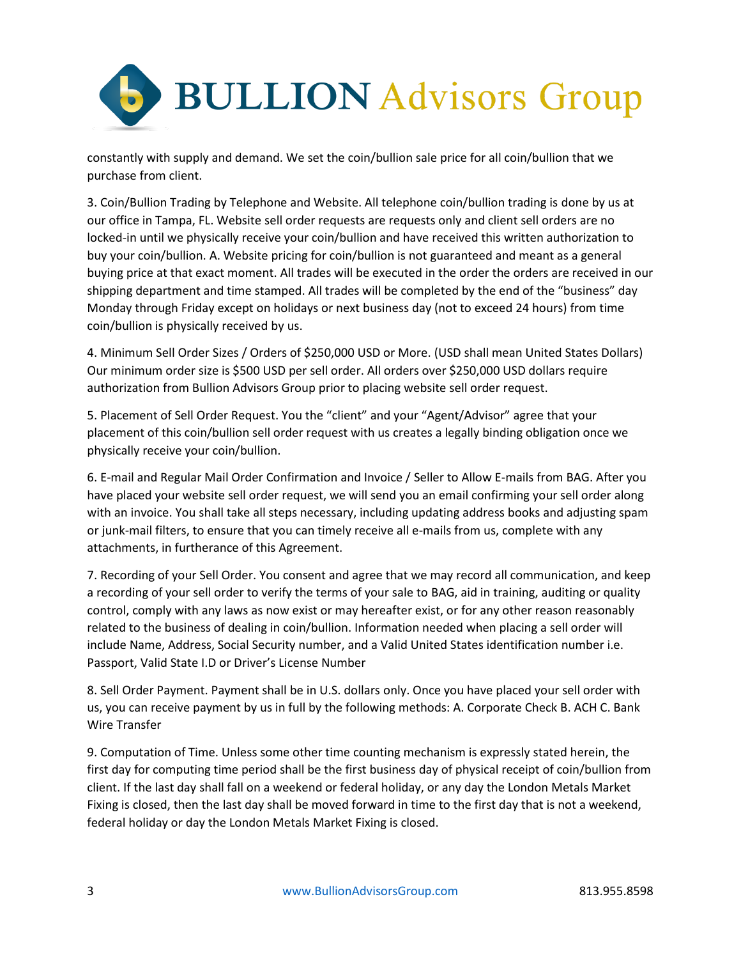

constantly with supply and demand. We set the coin/bullion sale price for all coin/bullion that we purchase from client.

3. Coin/Bullion Trading by Telephone and Website. All telephone coin/bullion trading is done by us at our office in Tampa, FL. Website sell order requests are requests only and client sell orders are no locked-in until we physically receive your coin/bullion and have received this written authorization to buy your coin/bullion. A. Website pricing for coin/bullion is not guaranteed and meant as a general buying price at that exact moment. All trades will be executed in the order the orders are received in our shipping department and time stamped. All trades will be completed by the end of the "business" day Monday through Friday except on holidays or next business day (not to exceed 24 hours) from time coin/bullion is physically received by us.

4. Minimum Sell Order Sizes / Orders of \$250,000 USD or More. (USD shall mean United States Dollars) Our minimum order size is \$500 USD per sell order. All orders over \$250,000 USD dollars require authorization from Bullion Advisors Group prior to placing website sell order request.

5. Placement of Sell Order Request. You the "client" and your "Agent/Advisor" agree that your placement of this coin/bullion sell order request with us creates a legally binding obligation once we physically receive your coin/bullion.

6. E-mail and Regular Mail Order Confirmation and Invoice / Seller to Allow E-mails from BAG. After you have placed your website sell order request, we will send you an email confirming your sell order along with an invoice. You shall take all steps necessary, including updating address books and adjusting spam or junk-mail filters, to ensure that you can timely receive all e-mails from us, complete with any attachments, in furtherance of this Agreement.

7. Recording of your Sell Order. You consent and agree that we may record all communication, and keep a recording of your sell order to verify the terms of your sale to BAG, aid in training, auditing or quality control, comply with any laws as now exist or may hereafter exist, or for any other reason reasonably related to the business of dealing in coin/bullion. Information needed when placing a sell order will include Name, Address, Social Security number, and a Valid United States identification number i.e. Passport, Valid State I.D or Driver's License Number

8. Sell Order Payment. Payment shall be in U.S. dollars only. Once you have placed your sell order with us, you can receive payment by us in full by the following methods: A. Corporate Check B. ACH C. Bank Wire Transfer

9. Computation of Time. Unless some other time counting mechanism is expressly stated herein, the first day for computing time period shall be the first business day of physical receipt of coin/bullion from client. If the last day shall fall on a weekend or federal holiday, or any day the London Metals Market Fixing is closed, then the last day shall be moved forward in time to the first day that is not a weekend, federal holiday or day the London Metals Market Fixing is closed.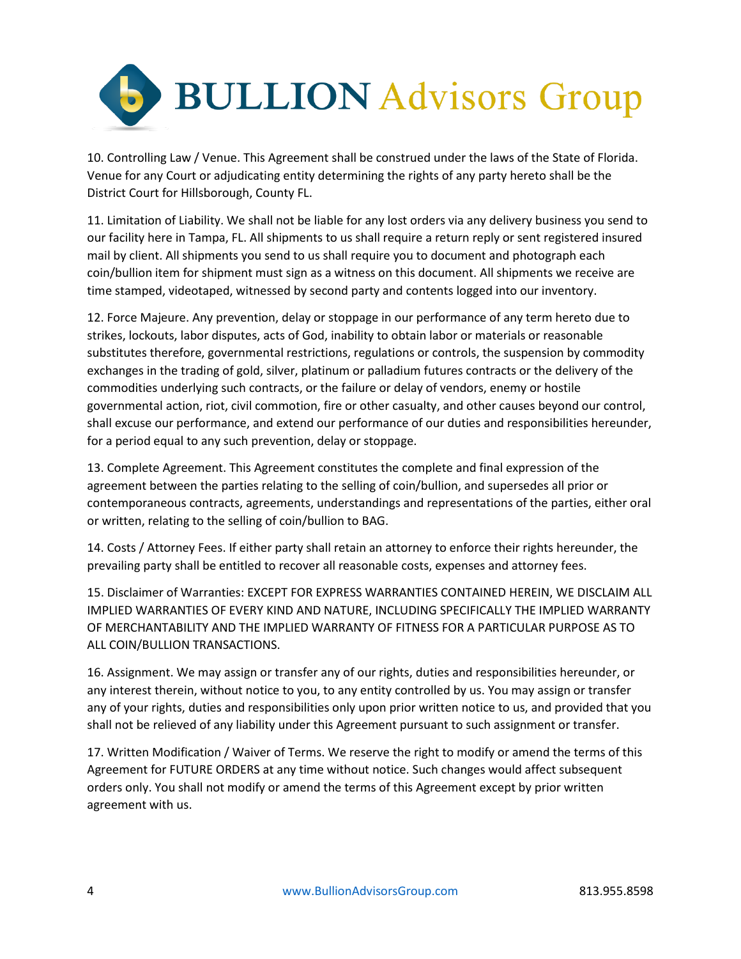

10. Controlling Law / Venue. This Agreement shall be construed under the laws of the State of Florida. Venue for any Court or adjudicating entity determining the rights of any party hereto shall be the District Court for Hillsborough, County FL.

11. Limitation of Liability. We shall not be liable for any lost orders via any delivery business you send to our facility here in Tampa, FL. All shipments to us shall require a return reply or sent registered insured mail by client. All shipments you send to us shall require you to document and photograph each coin/bullion item for shipment must sign as a witness on this document. All shipments we receive are time stamped, videotaped, witnessed by second party and contents logged into our inventory.

12. Force Majeure. Any prevention, delay or stoppage in our performance of any term hereto due to strikes, lockouts, labor disputes, acts of God, inability to obtain labor or materials or reasonable substitutes therefore, governmental restrictions, regulations or controls, the suspension by commodity exchanges in the trading of gold, silver, platinum or palladium futures contracts or the delivery of the commodities underlying such contracts, or the failure or delay of vendors, enemy or hostile governmental action, riot, civil commotion, fire or other casualty, and other causes beyond our control, shall excuse our performance, and extend our performance of our duties and responsibilities hereunder, for a period equal to any such prevention, delay or stoppage.

13. Complete Agreement. This Agreement constitutes the complete and final expression of the agreement between the parties relating to the selling of coin/bullion, and supersedes all prior or contemporaneous contracts, agreements, understandings and representations of the parties, either oral or written, relating to the selling of coin/bullion to BAG.

14. Costs / Attorney Fees. If either party shall retain an attorney to enforce their rights hereunder, the prevailing party shall be entitled to recover all reasonable costs, expenses and attorney fees.

15. Disclaimer of Warranties: EXCEPT FOR EXPRESS WARRANTIES CONTAINED HEREIN, WE DISCLAIM ALL IMPLIED WARRANTIES OF EVERY KIND AND NATURE, INCLUDING SPECIFICALLY THE IMPLIED WARRANTY OF MERCHANTABILITY AND THE IMPLIED WARRANTY OF FITNESS FOR A PARTICULAR PURPOSE AS TO ALL COIN/BULLION TRANSACTIONS.

16. Assignment. We may assign or transfer any of our rights, duties and responsibilities hereunder, or any interest therein, without notice to you, to any entity controlled by us. You may assign or transfer any of your rights, duties and responsibilities only upon prior written notice to us, and provided that you shall not be relieved of any liability under this Agreement pursuant to such assignment or transfer.

17. Written Modification / Waiver of Terms. We reserve the right to modify or amend the terms of this Agreement for FUTURE ORDERS at any time without notice. Such changes would affect subsequent orders only. You shall not modify or amend the terms of this Agreement except by prior written agreement with us.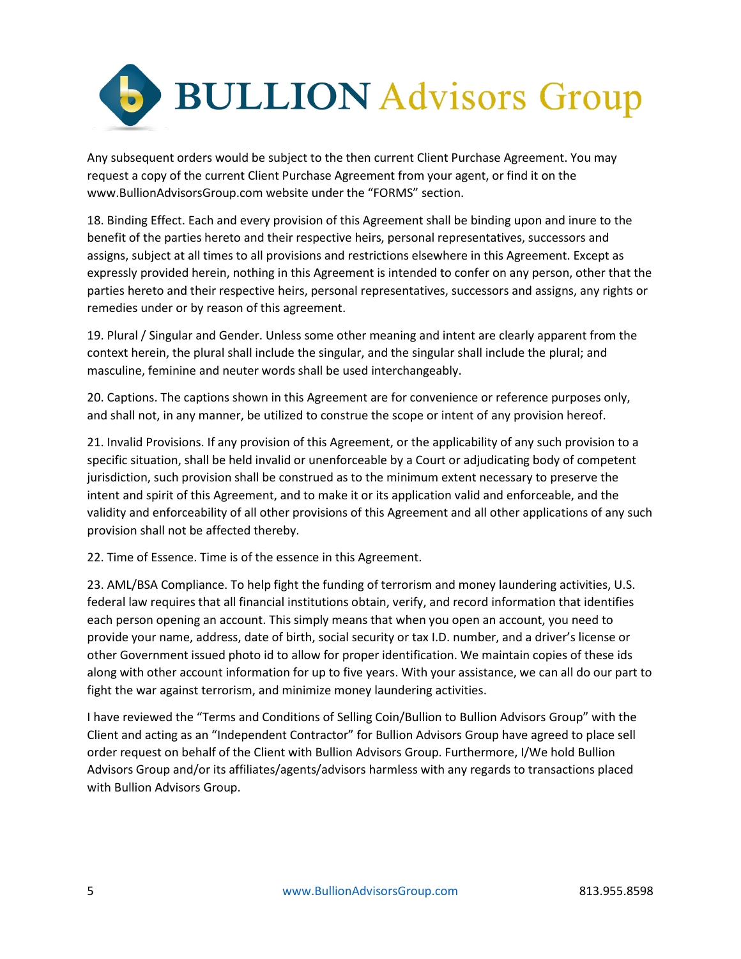

Any subsequent orders would be subject to the then current Client Purchase Agreement. You may request a copy of the current Client Purchase Agreement from your agent, or find it on the www.BullionAdvisorsGroup.com website under the "FORMS" section.

18. Binding Effect. Each and every provision of this Agreement shall be binding upon and inure to the benefit of the parties hereto and their respective heirs, personal representatives, successors and assigns, subject at all times to all provisions and restrictions elsewhere in this Agreement. Except as expressly provided herein, nothing in this Agreement is intended to confer on any person, other that the parties hereto and their respective heirs, personal representatives, successors and assigns, any rights or remedies under or by reason of this agreement.

19. Plural / Singular and Gender. Unless some other meaning and intent are clearly apparent from the context herein, the plural shall include the singular, and the singular shall include the plural; and masculine, feminine and neuter words shall be used interchangeably.

20. Captions. The captions shown in this Agreement are for convenience or reference purposes only, and shall not, in any manner, be utilized to construe the scope or intent of any provision hereof.

21. Invalid Provisions. If any provision of this Agreement, or the applicability of any such provision to a specific situation, shall be held invalid or unenforceable by a Court or adjudicating body of competent jurisdiction, such provision shall be construed as to the minimum extent necessary to preserve the intent and spirit of this Agreement, and to make it or its application valid and enforceable, and the validity and enforceability of all other provisions of this Agreement and all other applications of any such provision shall not be affected thereby.

22. Time of Essence. Time is of the essence in this Agreement.

23. AML/BSA Compliance. To help fight the funding of terrorism and money laundering activities, U.S. federal law requires that all financial institutions obtain, verify, and record information that identifies each person opening an account. This simply means that when you open an account, you need to provide your name, address, date of birth, social security or tax I.D. number, and a driver's license or other Government issued photo id to allow for proper identification. We maintain copies of these ids along with other account information for up to five years. With your assistance, we can all do our part to fight the war against terrorism, and minimize money laundering activities.

I have reviewed the "Terms and Conditions of Selling Coin/Bullion to Bullion Advisors Group" with the Client and acting as an "Independent Contractor" for Bullion Advisors Group have agreed to place sell order request on behalf of the Client with Bullion Advisors Group. Furthermore, I/We hold Bullion Advisors Group and/or its affiliates/agents/advisors harmless with any regards to transactions placed with Bullion Advisors Group.